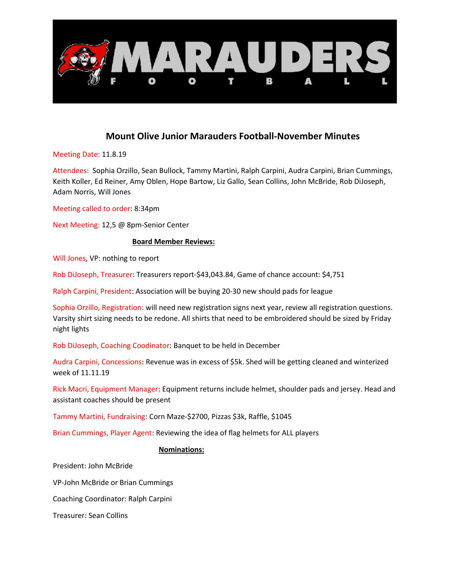

## Mount Olive Junior Marauders Football-November Minutes

Meeting Date: 11.8.19

Attendees: Sophia Orzillo, Sean Bullock, Tammy Martini, Ralph Carpini, Audra Carpini, Brian Cummings, Keith Koller, Ed Reiner, Amy Oblen, Hope Bartow, Liz Gallo, Sean Collins, John McBride, Rob DiJoseph, Adam Norris, Will Jones

Meeting called to order: 8:34pm

Next Meeting: 12,5 @ 8pm-Senior Center

## Board Member Reviews:

Will Jones, VP: nothing to report

Rob DiJoseph, Treasurer: Treasurers report-\$43,043.84, Game of chance account: \$4,751

Ralph Carpini, President: Association will be buying 20-30 new should pads for league

Sophia Orzillo, Registration: will need new registration signs next year, review all registration questions. Varsity shirt sizing needs to be redone. All shirts that need to be embroidered should be sized by Friday night lights

Rob DiJoseph, Coaching Coodinator: Banquet to be held in December

Audra Carpini, Concessions: Revenue was in excess of \$5k. Shed will be getting cleaned and winterized week of 11.11.19

Rick Macri, Equipment Manager: Equipment returns include helmet, shoulder pads and jersey. Head and assistant coaches should be present

Tammy Martini, Fundraising: Corn Maze-\$2700, Pizzas \$3k, Raffle, \$1045

Brian Cummings, Player Agent: Reviewing the idea of flag helmets for ALL players

## Nominations:

President: John McBride

VP-John McBride or Brian Cummings

Coaching Coordinator: Ralph Carpini

Treasurer: Sean Collins